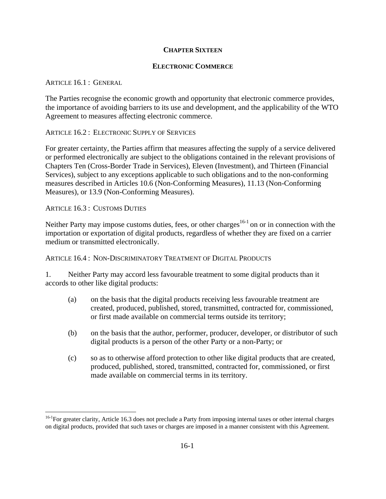## **CHAPTER SIXTEEN**

## **ELECTRONIC COMMERCE**

## ARTICLE 16.1 : GENERAL

The Parties recognise the economic growth and opportunity that electronic commerce provides, the importance of avoiding barriers to its use and development, and the applicability of the WTO Agreement to measures affecting electronic commerce.

ARTICLE 16.2 : ELECTRONIC SUPPLY OF SERVICES

For greater certainty, the Parties affirm that measures affecting the supply of a service delivered or performed electronically are subject to the obligations contained in the relevant provisions of Chapters Ten (Cross-Border Trade in Services), Eleven (Investment), and Thirteen (Financial Services), subject to any exceptions applicable to such obligations and to the non-conforming measures described in Articles 10.6 (Non-Conforming Measures), 11.13 (Non-Conforming Measures), or 13.9 (Non-Conforming Measures).

ARTICLE 16.3 : CUSTOMS DUTIES

 $\overline{a}$ 

Neither Party may impose customs duties, fees, or other charges<sup>16-1</sup> on or in connection with the importation or exportation of digital products, regardless of whether they are fixed on a carrier medium or transmitted electronically.

ARTICLE 16.4 : NON-DISCRIMINATORY TREATMENT OF DIGITAL PRODUCTS

1. Neither Party may accord less favourable treatment to some digital products than it accords to other like digital products:

- (a) on the basis that the digital products receiving less favourable treatment are created, produced, published, stored, transmitted, contracted for, commissioned, or first made available on commercial terms outside its territory;
- (b) on the basis that the author, performer, producer, developer, or distributor of such digital products is a person of the other Party or a non-Party; or
- (c) so as to otherwise afford protection to other like digital products that are created, produced, published, stored, transmitted, contracted for, commissioned, or first made available on commercial terms in its territory.

 $16-1$ For greater clarity, Article 16.3 does not preclude a Party from imposing internal taxes or other internal charges on digital products, provided that such taxes or charges are imposed in a manner consistent with this Agreement.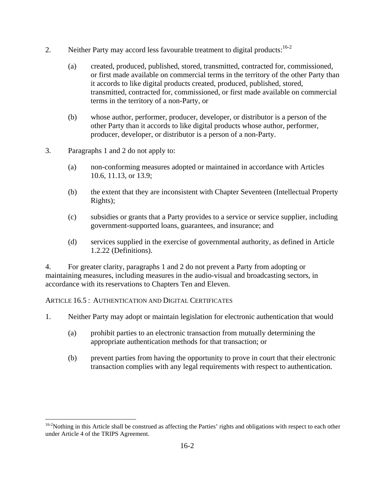- 2. Neither Party may accord less favourable treatment to digital products:<sup>16-2</sup>
	- (a) created, produced, published, stored, transmitted, contracted for, commissioned, or first made available on commercial terms in the territory of the other Party than it accords to like digital products created, produced, published, stored, transmitted, contracted for, commissioned, or first made available on commercial terms in the territory of a non-Party, or
	- (b) whose author, performer, producer, developer, or distributor is a person of the other Party than it accords to like digital products whose author, performer, producer, developer, or distributor is a person of a non-Party.
- 3. Paragraphs 1 and 2 do not apply to:
	- (a) non-conforming measures adopted or maintained in accordance with Articles 10.6, 11.13, or 13.9;
	- (b) the extent that they are inconsistent with Chapter Seventeen (Intellectual Property Rights);
	- (c) subsidies or grants that a Party provides to a service or service supplier, including government-supported loans, guarantees, and insurance; and
	- (d) services supplied in the exercise of governmental authority, as defined in Article 1.2.22 (Definitions).

4. For greater clarity, paragraphs 1 and 2 do not prevent a Party from adopting or maintaining measures, including measures in the audio-visual and broadcasting sectors, in accordance with its reservations to Chapters Ten and Eleven.

ARTICLE 16.5 : AUTHENTICATION AND DIGITAL CERTIFICATES

- 1. Neither Party may adopt or maintain legislation for electronic authentication that would
	- (a) prohibit parties to an electronic transaction from mutually determining the appropriate authentication methods for that transaction; or
	- (b) prevent parties from having the opportunity to prove in court that their electronic transaction complies with any legal requirements with respect to authentication.

<sup>1</sup> <sup>16-2</sup>Nothing in this Article shall be construed as affecting the Parties' rights and obligations with respect to each other under Article 4 of the TRIPS Agreement.